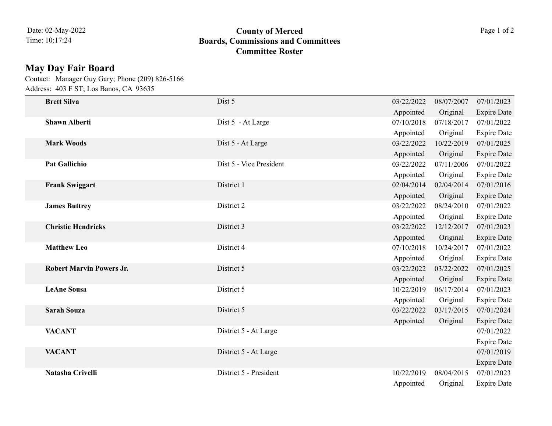## 10:17:24 **Boards, Commissions and Committees County of Merced** Page 1 of 2 **Committee Roster**

## **May Day Fair Board**

Address: 403 F ST; Los Banos, CA 93635 Contact: Manager Guy Gary; Phone (209) 826-5166

| <b>Brett Silva</b>              | Dist 5                  | 03/22/2022 | 08/07/2007 | 07/01/2023         |
|---------------------------------|-------------------------|------------|------------|--------------------|
|                                 |                         | Appointed  | Original   | <b>Expire Date</b> |
| <b>Shawn Alberti</b>            | Dist 5 - At Large       | 07/10/2018 | 07/18/2017 | 07/01/2022         |
|                                 |                         | Appointed  | Original   | <b>Expire Date</b> |
| <b>Mark Woods</b>               | Dist 5 - At Large       | 03/22/2022 | 10/22/2019 | 07/01/2025         |
|                                 |                         | Appointed  | Original   | <b>Expire Date</b> |
| <b>Pat Gallichio</b>            | Dist 5 - Vice President | 03/22/2022 | 07/11/2006 | 07/01/2022         |
|                                 |                         | Appointed  | Original   | <b>Expire Date</b> |
| <b>Frank Swiggart</b>           | District 1              | 02/04/2014 | 02/04/2014 | 07/01/2016         |
|                                 |                         | Appointed  | Original   | <b>Expire Date</b> |
| <b>James Buttrey</b>            | District 2              | 03/22/2022 | 08/24/2010 | 07/01/2022         |
|                                 |                         | Appointed  | Original   | <b>Expire Date</b> |
| <b>Christie Hendricks</b>       | District 3              | 03/22/2022 | 12/12/2017 | 07/01/2023         |
|                                 |                         | Appointed  | Original   | <b>Expire Date</b> |
| <b>Matthew Leo</b>              | District 4              | 07/10/2018 | 10/24/2017 | 07/01/2022         |
|                                 |                         | Appointed  | Original   | <b>Expire Date</b> |
| <b>Robert Marvin Powers Jr.</b> | District 5              | 03/22/2022 | 03/22/2022 | 07/01/2025         |
|                                 |                         | Appointed  | Original   | <b>Expire Date</b> |
| <b>LeAne Sousa</b>              | District 5              | 10/22/2019 | 06/17/2014 | 07/01/2023         |
|                                 |                         | Appointed  | Original   | <b>Expire Date</b> |
| <b>Sarah Souza</b>              | District 5              | 03/22/2022 | 03/17/2015 | 07/01/2024         |
|                                 |                         | Appointed  | Original   | <b>Expire Date</b> |
| <b>VACANT</b>                   | District 5 - At Large   |            |            | 07/01/2022         |
|                                 |                         |            |            | <b>Expire Date</b> |
| <b>VACANT</b>                   | District 5 - At Large   |            |            | 07/01/2019         |
|                                 |                         |            |            | <b>Expire Date</b> |
| Natasha Crivelli                | District 5 - President  | 10/22/2019 | 08/04/2015 | 07/01/2023         |
|                                 |                         | Appointed  | Original   | <b>Expire Date</b> |
|                                 |                         |            |            |                    |